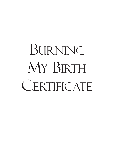# BURNING MY BIRTH **CERTIFICATE**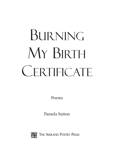# BURNING MY BIRTH **CERTIFICATE**

Poems

Pamela Sutton



THE ASHLAND POETRY PRESS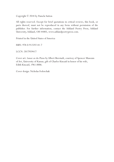Copyright © 2018 by Pamela Sutton

All rights reserved. Except for brief quotations in critical reviews, this book, or parts thereof, must not be reproduced in any form without permission of the publisher. For further information, contact the Ashland Poetry Press, Ashland University, Ashland, OH 44805, www.ashlandpoetrypress.com.

Printed in the United States of America

ISBN: 978-0-912592-81-7

LCCN: 2017959417

Cover art: *Sunset on the Plains* by Albert Bierstadt, courtesy of Spencer Museum of Art, University of Kansas, gift of Charles Kincaid in honor of his wife, Edith Kincaid, 1961.0006.

Cover design: Nicholas Fedorchak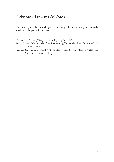## Acknowledgments & Notes

The author gratefully acknowledges the following publications who published early versions of the poems in this book.

*The American Journal of Poetry,* forthcoming "Big Tree, USA"

*Prairie Schooner,* "Organic Mask" and forthcoming "Burning My Birth Certificate" and "Afraid to Pray"

*American Poetry Review*, "World Without Glass," "Gnat Season," "Today's Nudes" and "Love, and a Bit With a Dog"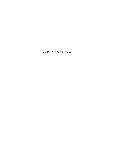*For Mabel Clifford McDaniel*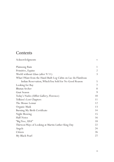# **Contents**

| Acknowledgments                                              | $\mathbf{V}$   |
|--------------------------------------------------------------|----------------|
| Plainsong Rain                                               | 1              |
| Primitive, Equine                                            | $\overline{2}$ |
| World without Glass (after 9/11)                             | 3              |
| What I Want from the Hand-Built Log Cabin on Lac du Flambeau |                |
| Indian Reservation, Which You Sold for No Good Reason        | 5              |
| Looking for Ray                                              | 7              |
| <b>Bhutan Archer</b>                                         | 8              |
| Gnat Season                                                  | 9              |
| Today's Nudes (Uffizi Gallery, Florence)                     | 10             |
| Tolkien's Lost Chapters                                      | 11             |
| The Mouse Lemur                                              | 12             |
| Organic Mask                                                 | 13             |
| Burning My Birth Certificate                                 | 14             |
| Night Mowing                                                 | 15             |
| Half-Notes                                                   | 16             |
| "Big Tree, USA"                                              | 18             |
| Thirteen Ways of Looking at Martin Luther King Day           | 22             |
| Angels                                                       | 24             |
| Citizen                                                      | 26             |
| My Black Pearl                                               | 27             |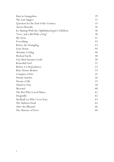| Rain in Guangzhou                               | 29 |
|-------------------------------------------------|----|
| The Last Supper                                 | 31 |
| Question for the End of the Century             | 33 |
| Aurora Borealis                                 | 34 |
| Ice Skating With the Ophthalmologist's Children | 36 |
| "Love, and a Bit With a Dog"                    | 38 |
| My Syria                                        | 41 |
| Everything                                      | 42 |
| Before the Strangling                           | 43 |
| Gray House                                      | 44 |
| Absolute Ceiling                                | 46 |
| Medical Earth                                   | 48 |
| City Bird Sursum Corda                          | 50 |
| Remedial God                                    | 51 |
| Before Co-Dependency                            | 52 |
| Bone House Broken                               | 53 |
| Compass of Fire                                 | 54 |
| Dream Garden                                    | 56 |
| Dream of Me                                     | 57 |
| Afraid to Pray                                  | 58 |
| Skyward                                         | 60 |
| The Boy Who Loved Planes                        | 61 |
| Dragonfly                                       | 62 |
| Stickball (or Why I Love You)                   | 63 |
| The Unborn Dead                                 | 65 |
| After the Blizzard                              | 66 |
| The Absence of Trees                            | 68 |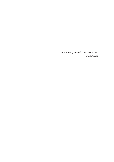*"Most of my symphonies are tombstones."* —*Shostakovich*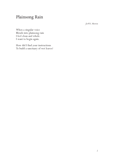# Plainsong Rain

*for W.S. Merwin*

When a singular voice Blends into plainsong rain I feel clean and whole. I want to begin again.

How did I find your instructions To build a sanctuary of wet leaves?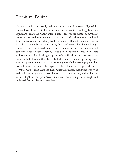### Primitive, Equine

The towers falter impossibly and implode. A team of muscular Clydesdales breaks loose from their harnesses and tackle. As in a waking Guernica nightmare I chase the giant, panicked horses all over the Kentucky farm. My boots slip over and over in muddy vermilion clay. My palms blister then bleed from sodden rope. Their silvery feathers redden with mud from hoof head to fetlock. Their necks arch and spring high and away like oblique bridges breaking. But I must catch and calm the horses because in their frenzied terror they could become deadly. Horse power. Hooves like mason's mallets kick out at me. Blinding-bright squares of rain flood the farm as I rope one horse, only to lose another. Blue-black sky pours reams of sparkling handwritten opera. I spin in erratic circles trying to catch the soaked pages as they crumble into my hands like papier mache. Horses and rope and opera. Tornadic Clydesdales. Ears laid flat against their heads; intelligent eyes wide and white with lightning; broad hooves kicking out at me, and within the darkest depths of me: primitive, equine. Wet music falling; never caught and collected. Never silenced; never heard.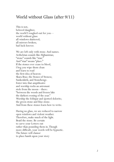#### World without Glass (after 9/11)

This is not, beloved daughter, the world I roughed-out for you world without glass: all windows shattered; all mirrors broken; bad luck forever.

We are left only with stone. And names. Aethelstan sounds like Afghanistan; "stone" sounds like "stan." And "stan" means "place." If the stones ever cease to bleed, I beg you wipe them clean and learn to read the first idea of heaven: Skara Brae; the Stones of Steness; Sunkenkirk; and Stonehenge. Enter into that ampitheatre and worship rocks an astronaut stole from the moon—there: "between the woods and frozen lake the darkest evening of the year." Worship the feldspar and spotted dolorite; the green-stone and blue-stone. And from these stones learn how to write.

Having no glass, we are reduced to narrow open windows and violent weather. Therefore, make much of the light. Braid the stone. Be certain to carve your Letters out rather than pounding them in. Though more difficult, your words will be hypnotic. The future will clamor to place hands upon your story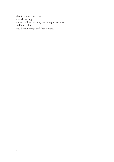about how we once had a world with glass: the crystalline morning we thought was ours and how it burst into broken wings and desert wars.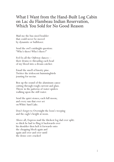#### What I Want from the Hand-Built Log Cabin on Lac du Flambeau Indian Reservation, Which You Sold for No Good Reason

Mail me the bus-sized boulder that could never be moved by dynamite or bulldozer.

Send the owl's midnight question: "Who's there? Who's there?"

Fed Ex all the Ojibway dances their drums re-threading each bead of my blood into a dream-catcher.

Email the smell of knotty pine. Twitter the iridescent hummingbirds jousting for nectar.

Box up the sound of the aluminum canoe cutting through rough current and glass. Throw in the patterns of water-spiders walking upon the still water.

Send the quiet stones; each full moon; and every sun that ever set on White Sand Lake.

Don't forget to Overnight the loon's weeping and the eagle's height at noon.

Above all, Express mail the thickest log dad ever split: so thick he had to fling it backwards over his shoulder then heft it forwards onto the chopping block again and again and over and over until the dense core cracked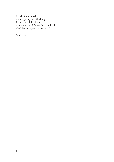in half; then fourths; then eighths; then kindling. I am a lost child alone in a black metal forest sharp and cold: black because gone, because sold.

Send fire.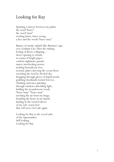#### Looking for Ray

Spinning a mirror between my palms the word "brave" the word "man" twirling faster, faster seeing a face and the words "brave man."

Banner of smoke unfurls like Batman's cape over Gotham City. Then the sinking feeling of floors collapsing doors opening to clouds, to reams of bright paper confetti nightmare parade; ninety interlocking stories melting beneath my feet; tectonic plates sheering the ocean floor, wrestling the God be-deviled sky, dropping through gloves of liquid metal, grabbing doorknobs locked forever, climbing staircases spiraling through windows shredding light, holding the incandescent words "brave man" "brave man" torching the air from my lungs, branding the heart in my hands; landing in the twisted sheets of my soft, warm bed that will never feel safe again.

Looking for Ray in the cereal aisle of the supermarket. Still looking. Looking for Ray.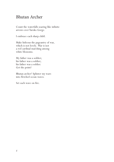## Bhutan Archer

Count the waterfalls soaring like infinite arrows over Taroko Gorge.

I embrace each sharp child.

Make hideous the pageantry of war, which is not lovely. War is not a red cardinal marching among white blossoms.

My father was a soldier; his father was a soldier; his father was a soldier. Get the point?

Bhutan archer! Splinter my tears into fletched ocean waves.

Set each wave on fire.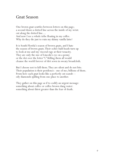#### Gnat Season

One brown gnat scuttles between letters on this page; a second draws a dotted line across the inside of my wrist: cut along the dotted line.... And now I see a whole tribe floating in my coffee. Why do they die just to ruin my skinny vanilla latte?

It is South Florida's season of brown gnats, and I hate the season of brown gnats. Their ochre-bald heads turn up to look at me and my visceral rage at their tenacity. They are only the size of Lincoln's eye on a penny or the dot over the letter "i." Killing them all would cleanse the world forever of dirt sewn in sweaty broadcloth.

But I choose not to kill them. They are silent and do not bite. Their population is their pestilence: one of me; billions of them. From here each gnat looks like a perfectly cut scarab oily diamonds spilling from one place to another.

They gather on this page as if to codify an urgent message: something about coffee or coffee-brown dung water: something about thirst greater than the fear of death.